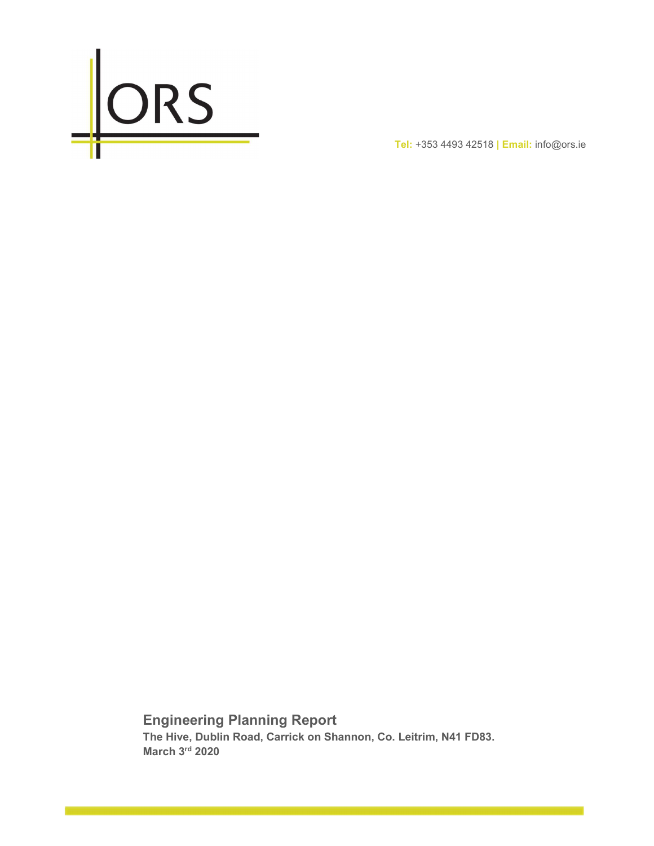

Tel: +353 4493 42518 | Email: info@ors.ie

Engineering Planning Report The Hive, Dublin Road, Carrick on Shannon, Co. Leitrim, N41 FD83. March 3rd 2020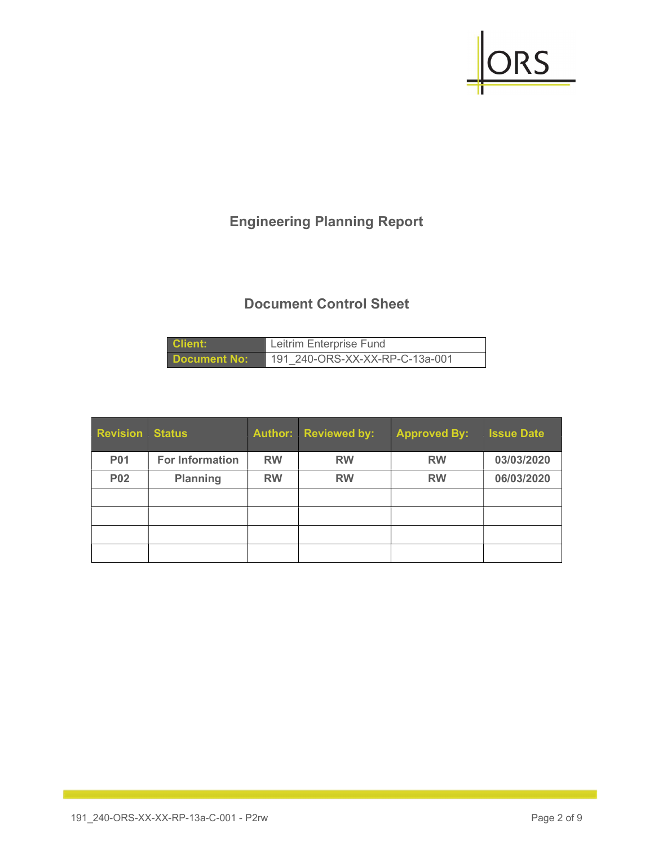

# Engineering Planning Report

# Document Control Sheet

| Client:      | Leitrim Enterprise Fund        |  |
|--------------|--------------------------------|--|
| Document No: | 191 240-ORS-XX-XX-RP-C-13a-001 |  |

| <b>Revision Status</b> |                        |           | Author: Reviewed by: | <b>Approved By:</b> | <b>Issue Date</b> |
|------------------------|------------------------|-----------|----------------------|---------------------|-------------------|
| <b>P01</b>             | <b>For Information</b> | <b>RW</b> | <b>RW</b>            | <b>RW</b>           | 03/03/2020        |
| <b>P02</b>             | <b>Planning</b>        | <b>RW</b> | <b>RW</b>            | <b>RW</b>           | 06/03/2020        |
|                        |                        |           |                      |                     |                   |
|                        |                        |           |                      |                     |                   |
|                        |                        |           |                      |                     |                   |
|                        |                        |           |                      |                     |                   |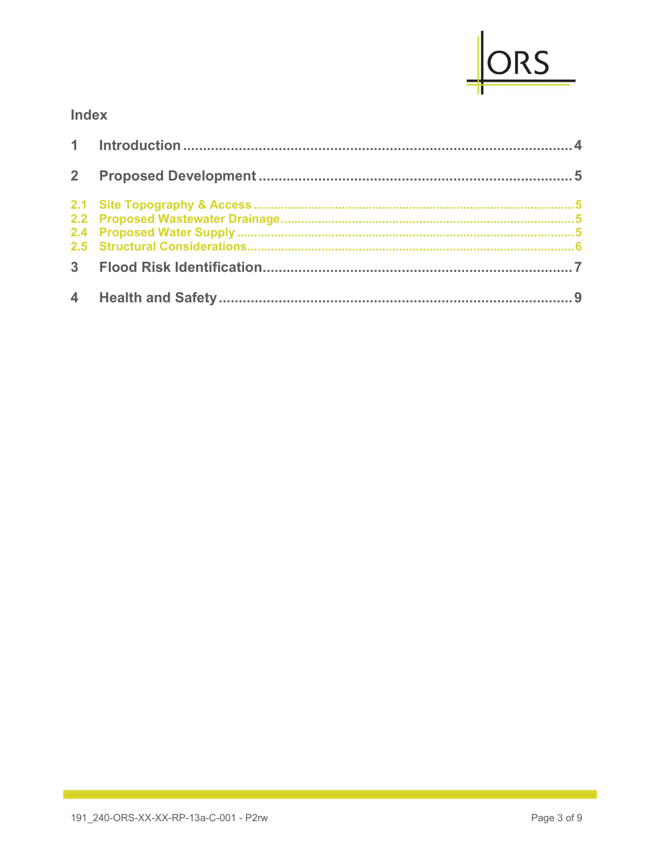

## Index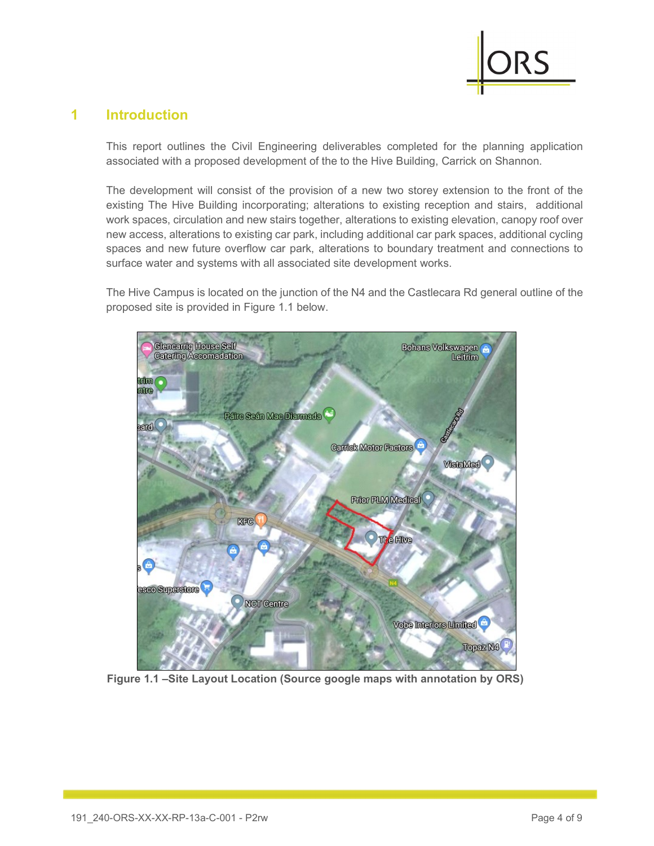

### 1 Introduction

This report outlines the Civil Engineering deliverables completed for the planning application associated with a proposed development of the to the Hive Building, Carrick on Shannon.

The development will consist of the provision of a new two storey extension to the front of the existing The Hive Building incorporating; alterations to existing reception and stairs, additional work spaces, circulation and new stairs together, alterations to existing elevation, canopy roof over new access, alterations to existing car park, including additional car park spaces, additional cycling spaces and new future overflow car park, alterations to boundary treatment and connections to surface water and systems with all associated site development works.

The Hive Campus is located on the junction of the N4 and the Castlecara Rd general outline of the proposed site is provided in Figure 1.1 below.



Figure 1.1 –Site Layout Location (Source google maps with annotation by ORS)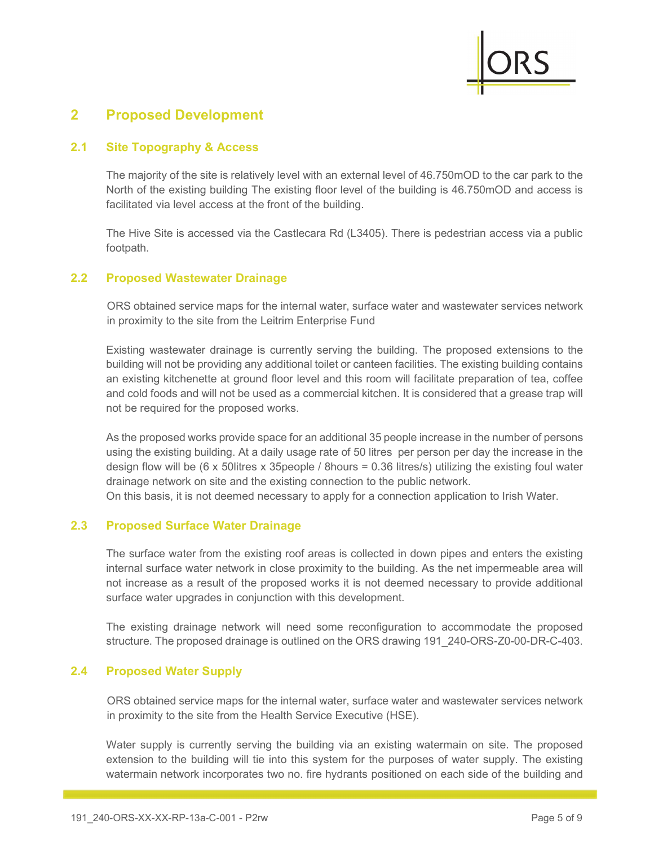

### 2 Proposed Development

#### 2.1 Site Topography & Access

The majority of the site is relatively level with an external level of 46.750mOD to the car park to the North of the existing building The existing floor level of the building is 46.750mOD and access is facilitated via level access at the front of the building.

The Hive Site is accessed via the Castlecara Rd (L3405). There is pedestrian access via a public footpath.

#### 2.2 Proposed Wastewater Drainage

ORS obtained service maps for the internal water, surface water and wastewater services network in proximity to the site from the Leitrim Enterprise Fund

Existing wastewater drainage is currently serving the building. The proposed extensions to the building will not be providing any additional toilet or canteen facilities. The existing building contains an existing kitchenette at ground floor level and this room will facilitate preparation of tea, coffee and cold foods and will not be used as a commercial kitchen. It is considered that a grease trap will not be required for the proposed works.

As the proposed works provide space for an additional 35 people increase in the number of persons using the existing building. At a daily usage rate of 50 litres per person per day the increase in the design flow will be (6 x 50litres x 35people / 8hours = 0.36 litres/s) utilizing the existing foul water drainage network on site and the existing connection to the public network.

On this basis, it is not deemed necessary to apply for a connection application to Irish Water.

#### 2.3 Proposed Surface Water Drainage

The surface water from the existing roof areas is collected in down pipes and enters the existing internal surface water network in close proximity to the building. As the net impermeable area will not increase as a result of the proposed works it is not deemed necessary to provide additional surface water upgrades in conjunction with this development.

The existing drainage network will need some reconfiguration to accommodate the proposed structure. The proposed drainage is outlined on the ORS drawing 191\_240-ORS-Z0-00-DR-C-403.

#### 2.4 Proposed Water Supply

ORS obtained service maps for the internal water, surface water and wastewater services network in proximity to the site from the Health Service Executive (HSE).

Water supply is currently serving the building via an existing watermain on site. The proposed extension to the building will tie into this system for the purposes of water supply. The existing watermain network incorporates two no. fire hydrants positioned on each side of the building and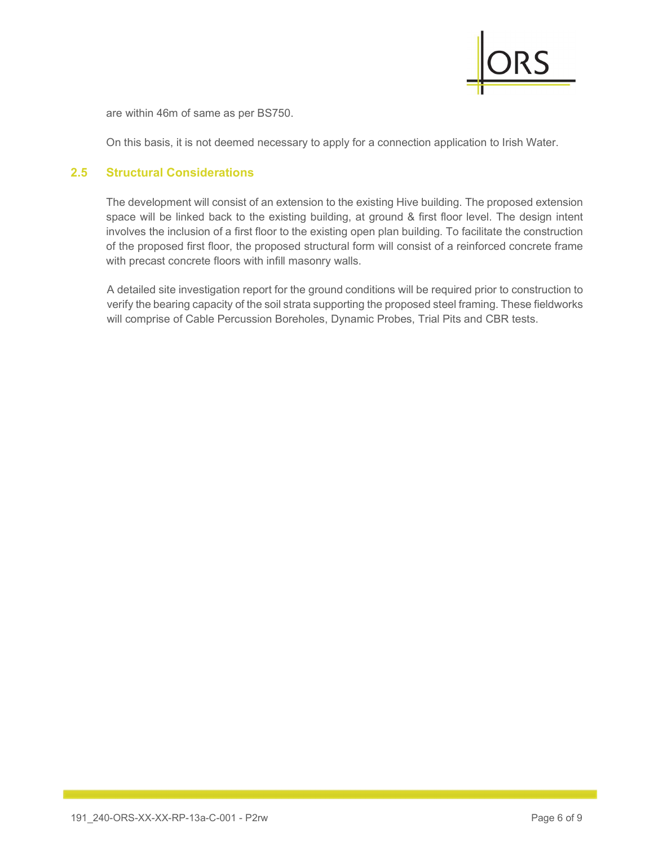

are within 46m of same as per BS750.

On this basis, it is not deemed necessary to apply for a connection application to Irish Water.

#### 2.5 Structural Considerations

The development will consist of an extension to the existing Hive building. The proposed extension space will be linked back to the existing building, at ground & first floor level. The design intent involves the inclusion of a first floor to the existing open plan building. To facilitate the construction of the proposed first floor, the proposed structural form will consist of a reinforced concrete frame with precast concrete floors with infill masonry walls.

A detailed site investigation report for the ground conditions will be required prior to construction to verify the bearing capacity of the soil strata supporting the proposed steel framing. These fieldworks will comprise of Cable Percussion Boreholes, Dynamic Probes, Trial Pits and CBR tests.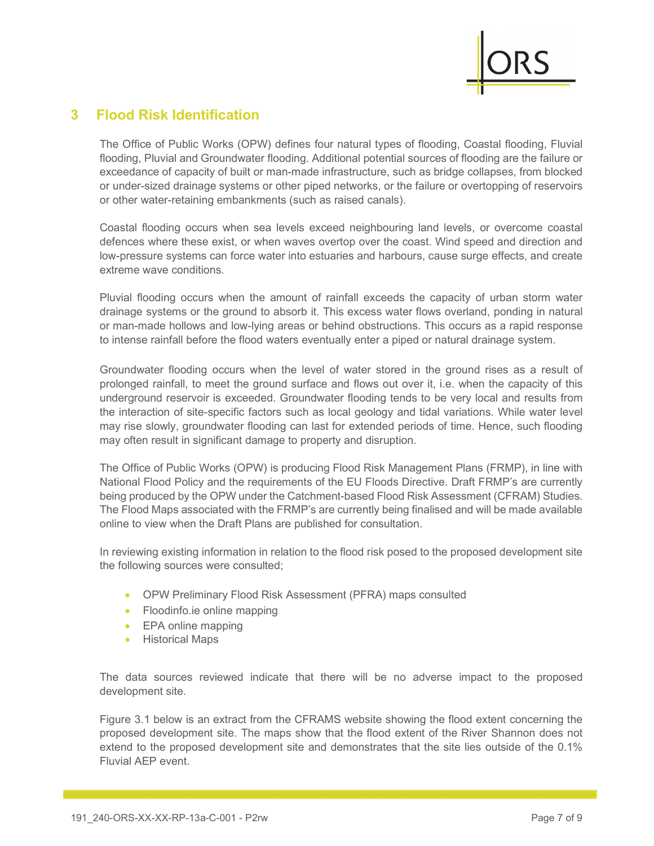

## 3 Flood Risk Identification

The Office of Public Works (OPW) defines four natural types of flooding, Coastal flooding, Fluvial flooding, Pluvial and Groundwater flooding. Additional potential sources of flooding are the failure or exceedance of capacity of built or man-made infrastructure, such as bridge collapses, from blocked or under-sized drainage systems or other piped networks, or the failure or overtopping of reservoirs or other water-retaining embankments (such as raised canals).

Coastal flooding occurs when sea levels exceed neighbouring land levels, or overcome coastal defences where these exist, or when waves overtop over the coast. Wind speed and direction and low-pressure systems can force water into estuaries and harbours, cause surge effects, and create extreme wave conditions.

Pluvial flooding occurs when the amount of rainfall exceeds the capacity of urban storm water drainage systems or the ground to absorb it. This excess water flows overland, ponding in natural or man-made hollows and low-lying areas or behind obstructions. This occurs as a rapid response to intense rainfall before the flood waters eventually enter a piped or natural drainage system.

Groundwater flooding occurs when the level of water stored in the ground rises as a result of prolonged rainfall, to meet the ground surface and flows out over it, i.e. when the capacity of this underground reservoir is exceeded. Groundwater flooding tends to be very local and results from the interaction of site-specific factors such as local geology and tidal variations. While water level may rise slowly, groundwater flooding can last for extended periods of time. Hence, such flooding may often result in significant damage to property and disruption.

The Office of Public Works (OPW) is producing Flood Risk Management Plans (FRMP), in line with National Flood Policy and the requirements of the EU Floods Directive. Draft FRMP's are currently being produced by the OPW under the Catchment-based Flood Risk Assessment (CFRAM) Studies. The Flood Maps associated with the FRMP's are currently being finalised and will be made available online to view when the Draft Plans are published for consultation.

In reviewing existing information in relation to the flood risk posed to the proposed development site the following sources were consulted;

- OPW Preliminary Flood Risk Assessment (PFRA) maps consulted
- Floodinfo.ie online mapping
- EPA online mapping
- Historical Maps

The data sources reviewed indicate that there will be no adverse impact to the proposed development site.

Figure 3.1 below is an extract from the CFRAMS website showing the flood extent concerning the proposed development site. The maps show that the flood extent of the River Shannon does not extend to the proposed development site and demonstrates that the site lies outside of the 0.1% Fluvial AEP event.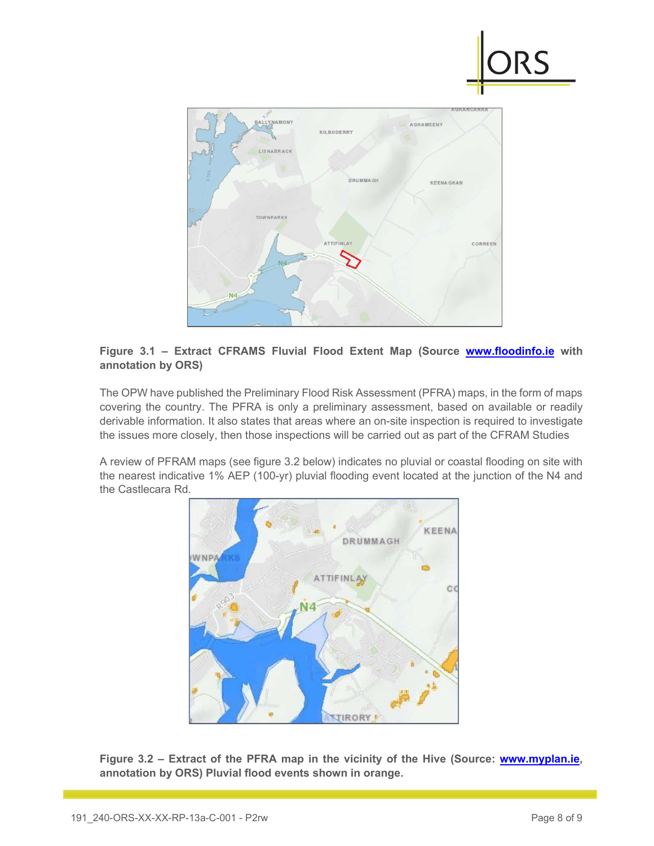

#### Figure 3.1 - Extract CFRAMS Fluvial Flood Extent Map (Source www.floodinfo.ie with annotation by ORS)

The OPW have published the Preliminary Flood Risk Assessment (PFRA) maps, in the form of maps covering the country. The PFRA is only a preliminary assessment, based on available or readily derivable information. It also states that areas where an on-site inspection is required to investigate the issues more closely, then those inspections will be carried out as part of the CFRAM Studies

A review of PFRAM maps (see figure 3.2 below) indicates no pluvial or coastal flooding on site with the nearest indicative 1% AEP (100-yr) pluvial flooding event located at the junction of the N4 and the Castlecara Rd.



Figure 3.2 – Extract of the PFRA map in the vicinity of the Hive (Source: www.myplan.ie, annotation by ORS) Pluvial flood events shown in orange.